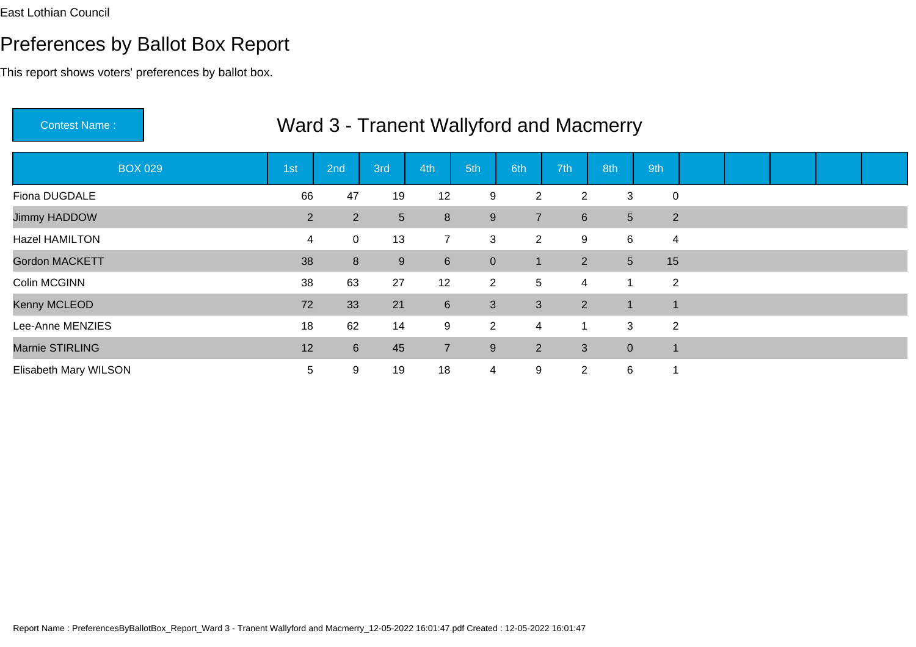This report shows voters' preferences by ballot box.

| Contest Name:         |                |                |                 |                |                |                |                  | Ward 3 - Tranent Wallyford and Macmerry |                |  |  |  |
|-----------------------|----------------|----------------|-----------------|----------------|----------------|----------------|------------------|-----------------------------------------|----------------|--|--|--|
| <b>BOX 029</b>        | 1st            | 2nd            | 3rd             | 4th            | 5th            | 6th            | 7th              | 8th                                     | 9th            |  |  |  |
| Fiona DUGDALE         | 66             | 47             | 19              | 12             | 9              | $\overline{2}$ | $\overline{2}$   | 3                                       | 0              |  |  |  |
| Jimmy HADDOW          | 2 <sup>1</sup> | $\overline{2}$ | $5\overline{)}$ | $\bf 8$        | 9              | $\overline{7}$ | $6 \overline{6}$ | 5 <sup>5</sup>                          | $\overline{2}$ |  |  |  |
| Hazel HAMILTON        | 4              | 0              | 13              | 7              | 3              | $\overline{2}$ | 9                | 6                                       | 4              |  |  |  |
| <b>Gordon MACKETT</b> | 38             | 8              | 9               | 6              | $\overline{0}$ | $\overline{1}$ | $\overline{2}$   | 5 <sub>5</sub>                          | 15             |  |  |  |
| Colin MCGINN          | 38             | 63             | 27              | 12             | $2^{\circ}$    | 5              | 4                |                                         | $\overline{2}$ |  |  |  |
| Kenny MCLEOD          | 72             | 33             | 21              | $6\phantom{1}$ | $\mathbf{3}$   | 3              | $\overline{2}$   | $\mathbf{1}$                            | $\mathbf 1$    |  |  |  |
| Lee-Anne MENZIES      | 18             | 62             | 14              | 9              | $\overline{2}$ | 4              |                  | 3                                       | $\overline{2}$ |  |  |  |
| Marnie STIRLING       | 12             | 6              | 45              | $\overline{7}$ | 9              | 2 <sup>1</sup> | 3                | $\overline{0}$                          | $\blacksquare$ |  |  |  |
| Elisabeth Mary WILSON | 5              | 9              | 19              | 18             | $\overline{4}$ | 9              | $\overline{2}$   | 6                                       | 1              |  |  |  |

# Ward 3 Transpot Wallyford and Macrosovic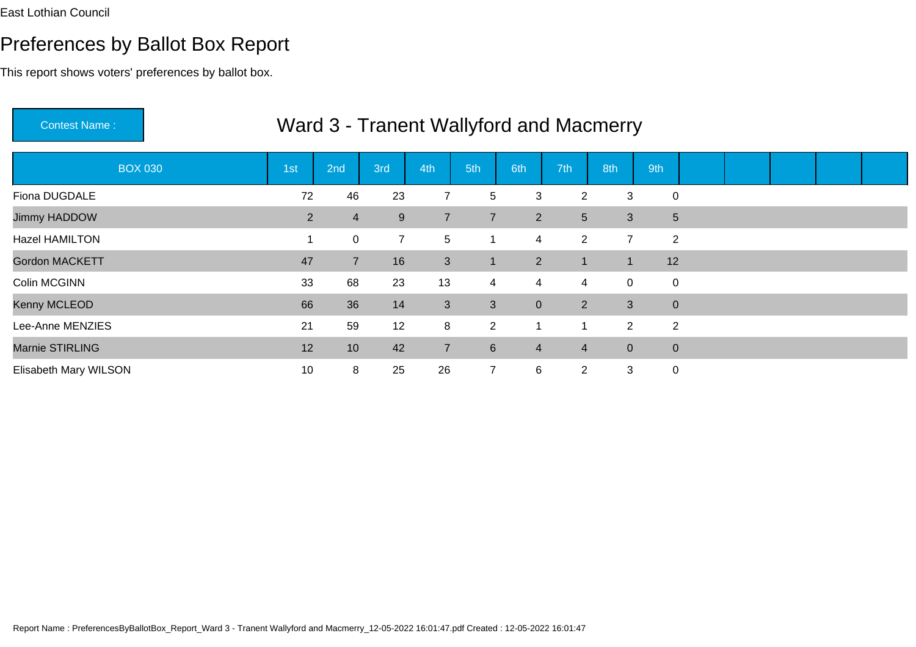| <b>Contest Name:</b>  |                |                 |                |                |                  |                |                | Ward 3 - Tranent Wallyford and Macmerry |                |  |  |  |
|-----------------------|----------------|-----------------|----------------|----------------|------------------|----------------|----------------|-----------------------------------------|----------------|--|--|--|
| <b>BOX 030</b>        | 1st            | 2nd             | 3rd            | 4th            | 5th              | 6th            | 7th            | 8th                                     | 9th            |  |  |  |
| Fiona DUGDALE         | 72             | 46              | 23             | $\overline{7}$ | 5                | 3              | $\overline{2}$ | 3                                       | $\mathbf 0$    |  |  |  |
| Jimmy HADDOW          | 2 <sup>1</sup> | $\overline{4}$  | 9              | $\overline{7}$ | $\overline{7}$   | $\overline{2}$ | 5              | 3                                       | 5              |  |  |  |
| Hazel HAMILTON        |                | 0               | $\overline{7}$ | 5              | 1                | $\overline{4}$ | $2^{\circ}$    | $\overline{7}$                          | $\overline{2}$ |  |  |  |
| <b>Gordon MACKETT</b> | 47             | $\overline{7}$  | 16             | 3              | $\mathbf{1}$     | $\overline{2}$ |                | $\blacksquare$                          | 12             |  |  |  |
| Colin MCGINN          | 33             | 68              | 23             | 13             | $\overline{4}$   | 4              | 4              | $\mathbf 0$                             | $\pmb{0}$      |  |  |  |
| Kenny MCLEOD          | 66             | 36              | 14             | 3              | $\mathbf{3}$     | $\overline{0}$ | 2 <sup>1</sup> | 3 <sup>2</sup>                          | $\overline{0}$ |  |  |  |
| Lee-Anne MENZIES      | 21             | 59              | 12             | 8              | $\overline{2}$   | $\mathbf{1}$   |                | $\overline{2}$                          | $\overline{2}$ |  |  |  |
| Marnie STIRLING       | 12             | 10 <sup>°</sup> | 42             | $\overline{7}$ | $6 \overline{6}$ | $\overline{4}$ | $\overline{4}$ | $\overline{0}$                          | $\pmb{0}$      |  |  |  |
| Elisabeth Mary WILSON | 10             | 8               | 25             | 26             | $\overline{7}$   | 6              | $\overline{2}$ | 3                                       | $\mathbf 0$    |  |  |  |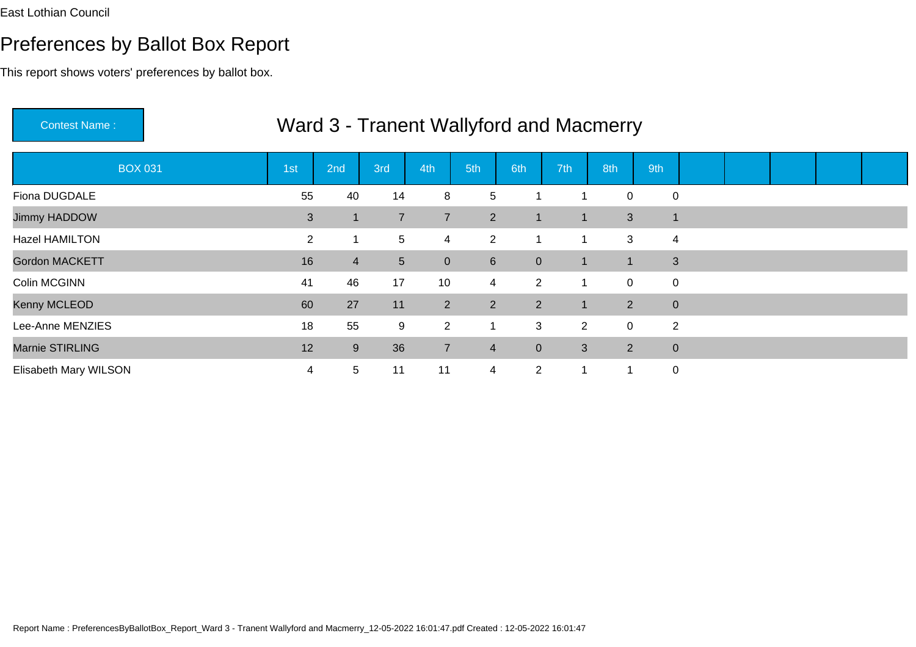## Preferences by Ballot Box Report

| <b>Contest Name:</b>  |                |                |                |                |                  |                |                | Ward 3 - Tranent Wallyford and Macmerry |                  |  |  |  |
|-----------------------|----------------|----------------|----------------|----------------|------------------|----------------|----------------|-----------------------------------------|------------------|--|--|--|
| <b>BOX 031</b>        | 1st            | 2nd            | 3rd            | 4th            | 5th              | 6th            | 7th            | 8th                                     | 9th              |  |  |  |
| Fiona DUGDALE         | 55             | 40             | 14             | 8              | 5                |                |                | 0                                       | $\mathbf 0$      |  |  |  |
| Jimmy HADDOW          | 3              | 1              | $\overline{7}$ | $\overline{7}$ | 2 <sup>1</sup>   | $\mathbf{1}$   | $\mathbf 1$    | $\mathbf{3}$                            | $\overline{1}$   |  |  |  |
| Hazel HAMILTON        | $\overline{2}$ | $\mathbf 1$    | 5 <sup>5</sup> | 4              | $\overline{2}$   | 1              |                | 3                                       | 4                |  |  |  |
| <b>Gordon MACKETT</b> | 16             | $\overline{4}$ | 5 <sup>5</sup> | $\overline{0}$ | $6 \overline{6}$ | $\mathbf{0}$   |                |                                         | 3                |  |  |  |
| Colin MCGINN          | 41             | 46             | 17             | 10             | $\overline{4}$   | $\overline{2}$ | -1             | 0                                       | $\boldsymbol{0}$ |  |  |  |
| Kenny MCLEOD          | 60             | 27             | 11             | $2^{\circ}$    | $\overline{2}$   | $\overline{2}$ | $\mathbf 1$    | $\overline{2}$                          | $\mathbf{0}$     |  |  |  |
| Lee-Anne MENZIES      | 18             | 55             | 9              | $\overline{2}$ | $\mathbf{1}$     | 3              | $\overline{2}$ | 0                                       | 2                |  |  |  |
| Marnie STIRLING       | 12             | 9              | 36             | $\overline{7}$ | $\overline{4}$   | $\overline{0}$ | 3              | $\overline{2}$                          | $\mathbf{0}$     |  |  |  |
| Elisabeth Mary WILSON | 4              | 5              | 11             | 11             | $\overline{4}$   | $\overline{2}$ |                | 1                                       | $\mathbf 0$      |  |  |  |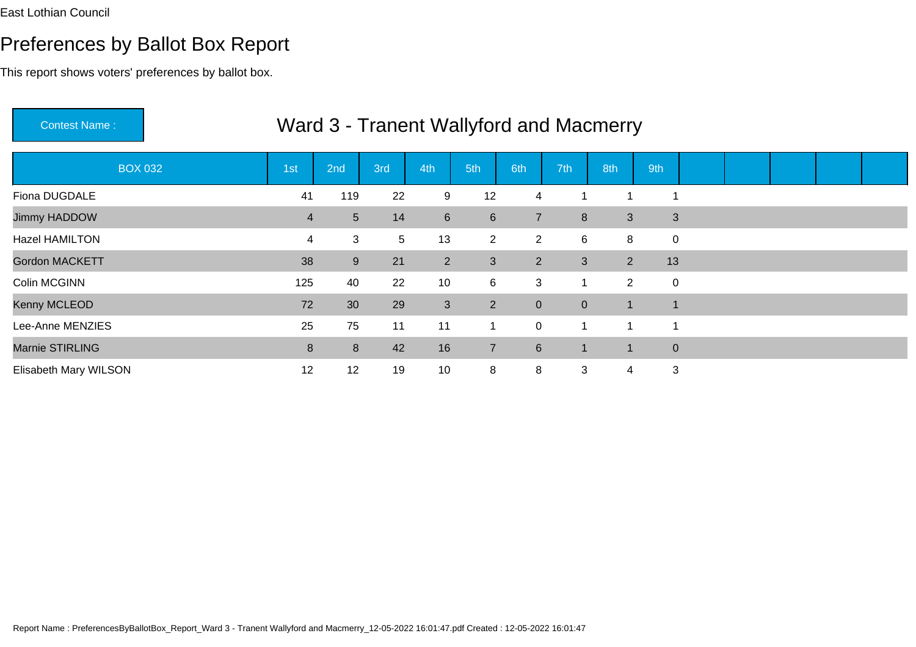| <b>Contest Name:</b>  |                |     |     |                 |                |                |                | Ward 3 - Tranent Wallyford and Macmerry |                |  |  |  |
|-----------------------|----------------|-----|-----|-----------------|----------------|----------------|----------------|-----------------------------------------|----------------|--|--|--|
| <b>BOX 032</b>        | 1st            | 2nd | 3rd | 4th             | 5th            | 6th            | 7th            | 8th                                     | 9th            |  |  |  |
| Fiona DUGDALE         | 41             | 119 | 22  | 9               | 12             | 4              |                |                                         | 1              |  |  |  |
| Jimmy HADDOW          | $\overline{4}$ | 5   | 14  | $6\overline{6}$ | $6\phantom{1}$ | $\overline{7}$ | 8              | 3                                       | 3              |  |  |  |
| Hazel HAMILTON        | 4              | 3   | 5   | 13              | $\overline{2}$ | $\overline{2}$ | 6              | 8                                       | $\mathbf 0$    |  |  |  |
| <b>Gordon MACKETT</b> | 38             | 9   | 21  | $2^{\circ}$     | 3              | 2              | 3              | $\overline{2}$                          | 13             |  |  |  |
| Colin MCGINN          | 125            | 40  | 22  | 10              | 6              | 3              |                | $2^{\circ}$                             | $\overline{0}$ |  |  |  |
| Kenny MCLEOD          | 72             | 30  | 29  | 3               | $\overline{2}$ | $\overline{0}$ | $\overline{0}$ | -1                                      | $\mathbf 1$    |  |  |  |
| Lee-Anne MENZIES      | 25             | 75  | 11  | 11              | $\mathbf{1}$   | $\overline{0}$ | 1              | $\blacktriangleleft$                    | 1              |  |  |  |
| Marnie STIRLING       | 8              | 8   | 42  | 16              | $\overline{7}$ | $6\phantom{1}$ |                | -1                                      | $\mathbf{0}$   |  |  |  |
| Elisabeth Mary WILSON | 12             | 12  | 19  | 10              | 8              | 8              | 3              | 4                                       | 3              |  |  |  |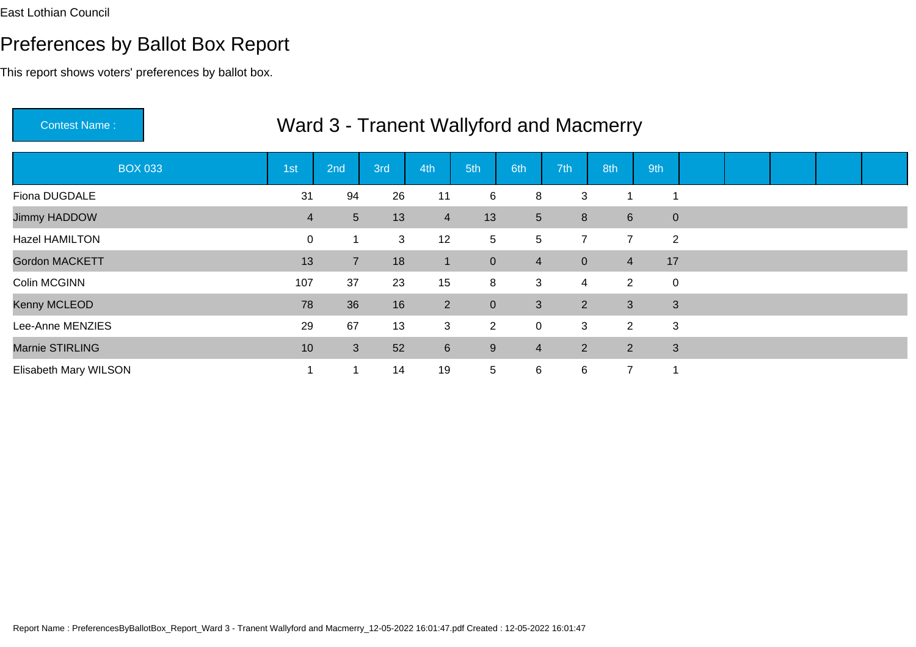# Preferences by Ballot Box Report

| <b>Contest Name:</b>  |                |                |     |                |                |                 |                | Ward 3 - Tranent Wallyford and Macmerry |                |  |  |  |
|-----------------------|----------------|----------------|-----|----------------|----------------|-----------------|----------------|-----------------------------------------|----------------|--|--|--|
| <b>BOX 033</b>        | 1st            | 2nd            | 3rd | 4th            | 5th            | 6th             | 7th            | 8th                                     | 9th            |  |  |  |
| Fiona DUGDALE         | 31             | 94             | 26  | 11             | 6              | 8               | 3              |                                         | 1              |  |  |  |
| Jimmy HADDOW          | $\overline{4}$ | 5              | 13  | $\overline{4}$ | 13             | $5\phantom{.0}$ | 8              | $6 \overline{6}$                        | $\pmb{0}$      |  |  |  |
| Hazel HAMILTON        | $\mathbf 0$    |                | 3   | 12             | 5              | 5               | $\overline{7}$ | $\overline{7}$                          | $\overline{2}$ |  |  |  |
| <b>Gordon MACKETT</b> | 13             | $\overline{7}$ | 18  | $\mathbf{1}$   | $\mathbf{0}$   | $\overline{4}$  | $\overline{0}$ | $\overline{4}$                          | 17             |  |  |  |
| Colin MCGINN          | 107            | 37             | 23  | 15             | 8              | 3               | 4              | $\overline{2}$                          | $\mathbf 0$    |  |  |  |
| Kenny MCLEOD          | 78             | 36             | 16  | $2^{\circ}$    | $\overline{0}$ | 3               | 2 <sup>1</sup> | 3                                       | 3              |  |  |  |
| Lee-Anne MENZIES      | 29             | 67             | 13  | $\mathbf{3}$   | $\overline{2}$ | $\mathbf 0$     | 3              | $\overline{2}$                          | 3              |  |  |  |
| Marnie STIRLING       | 10             | 3              | 52  | $6\phantom{1}$ | 9              | $\overline{4}$  | $\overline{2}$ | $\overline{2}$                          | 3              |  |  |  |
| Elisabeth Mary WILSON |                |                | 14  | 19             | 5              | 6               | 6              | $\overline{7}$                          | 1              |  |  |  |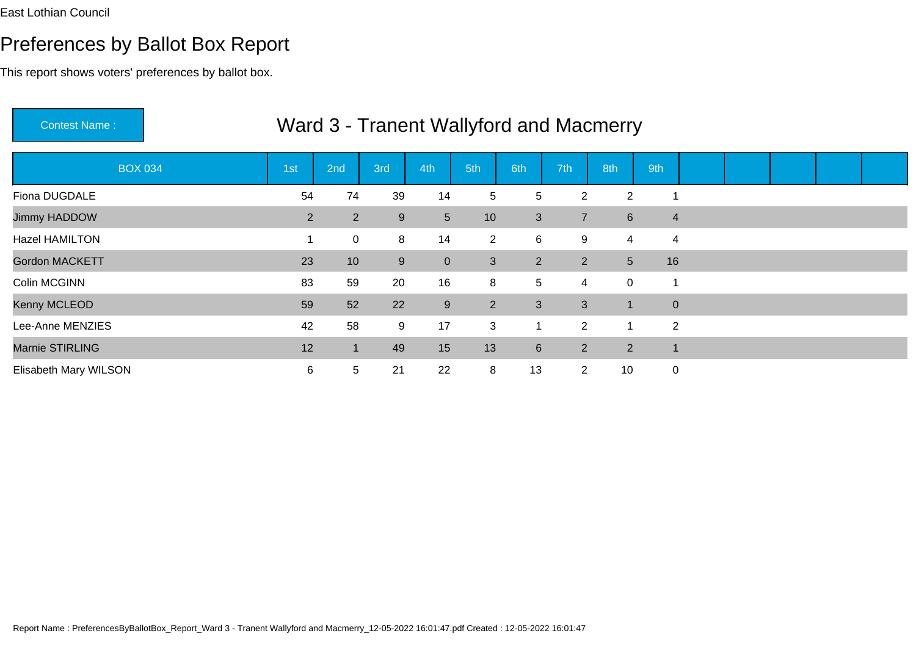## Preferences by Ballot Box Report

| <b>Contest Name:</b>  |             |                 |     |                |                 |                 |                | Ward 3 - Tranent Wallyford and Macmerry |                         |  |  |  |
|-----------------------|-------------|-----------------|-----|----------------|-----------------|-----------------|----------------|-----------------------------------------|-------------------------|--|--|--|
| <b>BOX 034</b>        | 1st         | 2nd             | 3rd | 4th            | 5th             | 6th             | 7th            | 8th                                     | 9th                     |  |  |  |
| Fiona DUGDALE         | 54          | 74              | 39  | 14             | 5               | 5               | $\overline{2}$ | $\overline{2}$                          | 1                       |  |  |  |
| Jimmy HADDOW          | $2^{\circ}$ | $\overline{2}$  | 9   | 5 <sup>5</sup> | 10 <sup>1</sup> | 3               | $\overline{7}$ | 6 <sup>1</sup>                          | $\overline{4}$          |  |  |  |
| Hazel HAMILTON        |             | 0               | 8   | 14             | $\overline{2}$  | 6               | 9              | 4                                       | $\overline{\mathbf{4}}$ |  |  |  |
| <b>Gordon MACKETT</b> | 23          | 10 <sup>°</sup> | 9   | $\overline{0}$ | 3               | 2               | $2^{\circ}$    | 5 <sup>5</sup>                          | 16                      |  |  |  |
| Colin MCGINN          | 83          | 59              | 20  | 16             | 8               | $5\phantom{.0}$ | 4              | $\mathbf 0$                             | 1                       |  |  |  |
| Kenny MCLEOD          | 59          | 52              | 22  | 9              | 2 <sup>1</sup>  | 3               | 3              | -1                                      | $\mathbf{0}$            |  |  |  |
| Lee-Anne MENZIES      | 42          | 58              | 9   | 17             | 3               | 1               | $\overline{2}$ | -1                                      | $\overline{2}$          |  |  |  |
| Marnie STIRLING       | 12          | ฯ∖              | 49  | 15             | 13              | $6\phantom{1}$  | $\overline{2}$ | $\overline{2}$                          | $\mathbf 1$             |  |  |  |
| Elisabeth Mary WILSON | 6           | 5               | 21  | 22             | 8               | 13              | $\overline{2}$ | 10                                      | $\mathbf 0$             |  |  |  |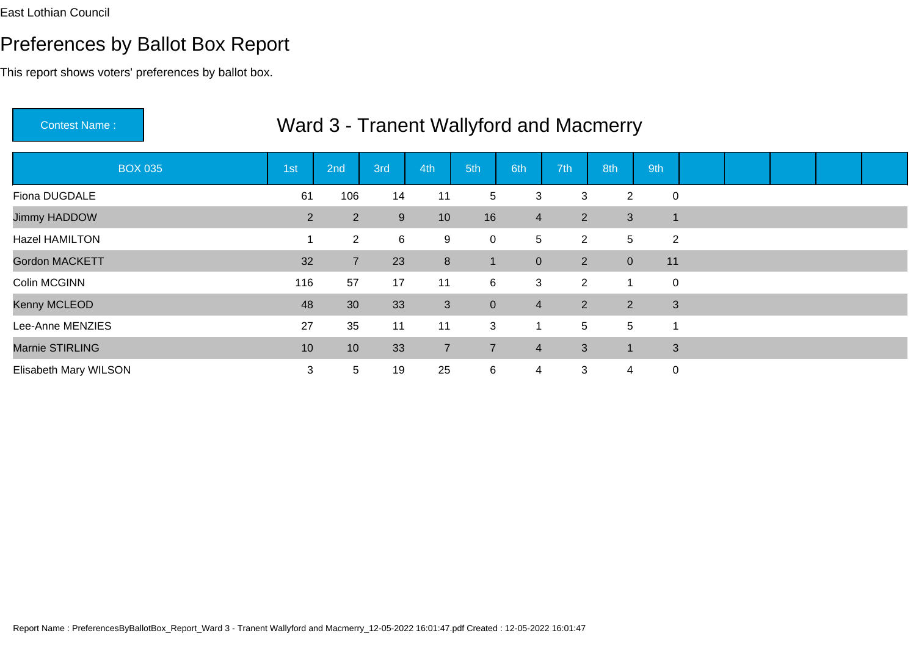$\frac{1}{2}$ 

## Preferences by Ballot Box Report

This report shows voters' preferences by ballot box.

| <b>UUITIUUL I VALITU.</b> |                |                |             |                |                |                      |                | <u>VVAIU J - TIANGIIL VVAIIVIUU ANU IVIAUNIGITY</u> |                |  |  |  |
|---------------------------|----------------|----------------|-------------|----------------|----------------|----------------------|----------------|-----------------------------------------------------|----------------|--|--|--|
| <b>BOX 035</b>            | 1st            | 2nd            | 3rd         | 4th            | 5th            | 6th                  | 7th            | 8th                                                 | 9th            |  |  |  |
| Fiona DUGDALE             | 61             | 106            | 14          | 11             | 5 <sup>5</sup> | 3                    | 3              | $\overline{2}$                                      | $\pmb{0}$      |  |  |  |
| Jimmy HADDOW              | $\overline{2}$ | $\overline{2}$ | 9           | 10             | 16             | $\overline{4}$       | $\overline{2}$ | 3                                                   | 1              |  |  |  |
| <b>Hazel HAMILTON</b>     |                | $\overline{2}$ | $6^{\circ}$ | 9              | $\overline{0}$ | 5                    | $\overline{2}$ | $5\phantom{.0}$                                     | $\overline{2}$ |  |  |  |
| Gordon MACKETT            | 32             | $\overline{7}$ | 23          | 8              | $\mathbf{1}$   | $\pmb{0}$            | $\overline{2}$ | $\overline{0}$                                      | 11             |  |  |  |
| Colin MCGINN              | 116            | 57             | 17          | 11             | 6              | 3                    | $\overline{2}$ | -1                                                  | $\pmb{0}$      |  |  |  |
| Kenny MCLEOD              | 48             | 30             | 33          | $\mathfrak{S}$ | $\overline{0}$ | $\overline{4}$       | $2^{\circ}$    | 2                                                   | $\mathbf{3}$   |  |  |  |
| Lee-Anne MENZIES          | 27             | 35             | 11          | 11             | 3              | $\blacktriangleleft$ | 5              | 5                                                   | 1              |  |  |  |
| Marnie STIRLING           | 10             | 10             | 33          | $\overline{7}$ | $\overline{7}$ | $\overline{4}$       | 3              |                                                     | 3              |  |  |  |
| Elisabeth Mary WILSON     | 3              | 5              | 19          | 25             | 6              | $\overline{4}$       | 3              | 4                                                   | $\pmb{0}$      |  |  |  |

# Ward 3 - Tranent Wallyford and Macmerry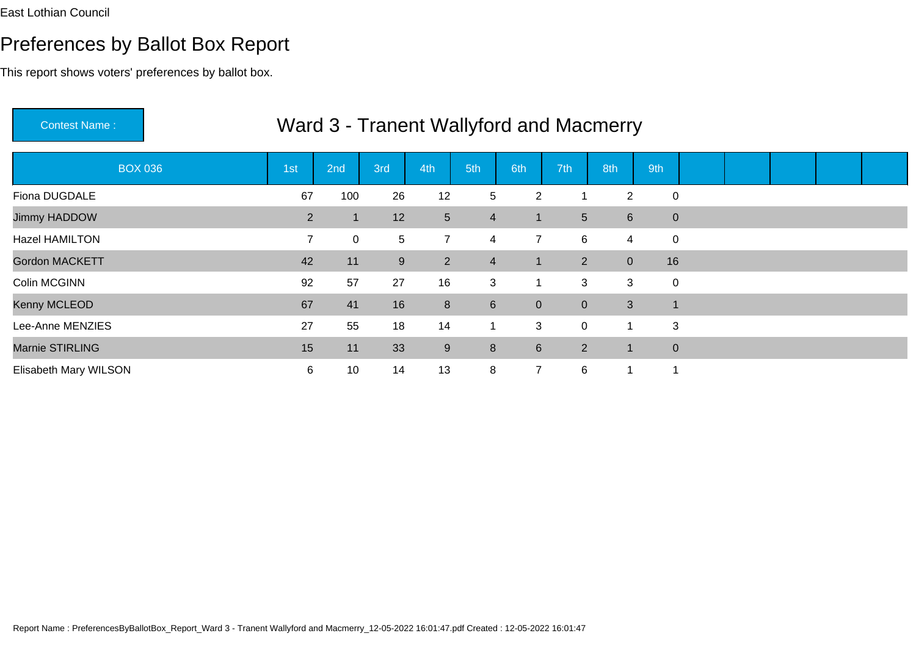This report shows voters' preferences by ballot box.

| <b>Contest Name:</b>  |                |     |     |                |                |                |                 | Ward 3 - Tranent Wallyford and Macmerry |                |  |  |  |
|-----------------------|----------------|-----|-----|----------------|----------------|----------------|-----------------|-----------------------------------------|----------------|--|--|--|
| <b>BOX 036</b>        | 1st            | 2nd | 3rd | 4th            | 5th            | 6th            | 7th             | 8th                                     | 9th            |  |  |  |
| Fiona DUGDALE         | 67             | 100 | 26  | 12             | 5              | $\overline{2}$ |                 | $\overline{2}$                          | $\mathbf 0$    |  |  |  |
| Jimmy HADDOW          | $\overline{2}$ | 1   | 12  | $\overline{5}$ | $\overline{4}$ | $\overline{1}$ | $5\overline{)}$ | $6\overline{6}$                         | $\mathbf 0$    |  |  |  |
| <b>Hazel HAMILTON</b> | $\overline{7}$ | 0   | 5   | $\overline{7}$ | $\overline{4}$ | $\overline{7}$ | 6               | $\overline{4}$                          | $\pmb{0}$      |  |  |  |
| <b>Gordon MACKETT</b> | 42             | 11  | 9   | 2              | $\overline{4}$ | $\mathbf{1}$   | $2^{\circ}$     | $\overline{0}$                          | 16             |  |  |  |
| Colin MCGINN          | 92             | 57  | 27  | 16             | 3              |                | 3               | 3                                       | 0              |  |  |  |
| Kenny MCLEOD          | 67             | 41  | 16  | 8              | $6\phantom{1}$ | $\mathbf{0}$   | $\overline{0}$  | $\mathbf{3}$                            | $\overline{1}$ |  |  |  |
| Lee-Anne MENZIES      | 27             | 55  | 18  | 14             | $\mathbf{1}$   | 3              | 0               |                                         | 3              |  |  |  |
| Marnie STIRLING       | 15             | 11  | 33  | $9\,$          | 8              | $6\phantom{1}$ | $\overline{2}$  | $\blacksquare$                          | $\pmb{0}$      |  |  |  |
| Elisabeth Mary WILSON | 6              | 10  | 14  | 13             | 8              | $\overline{7}$ | 6               |                                         | 1              |  |  |  |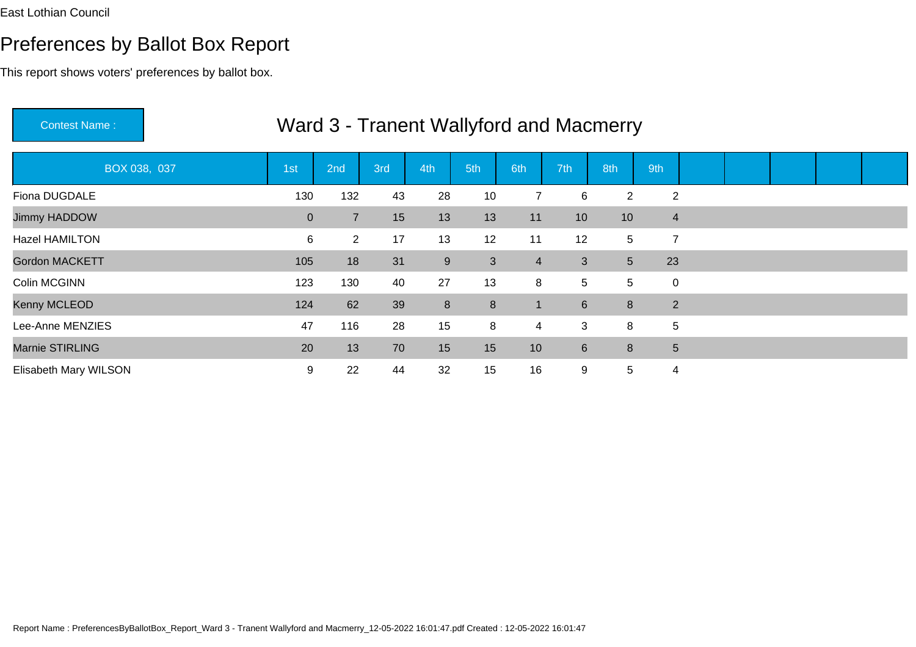This report shows voters' preferences by ballot box.

| <b>Contest Name:</b>  |                |                |     |                  |     |                |                 | Ward 3 - Tranent Wallyford and Macmerry |                         |  |  |  |
|-----------------------|----------------|----------------|-----|------------------|-----|----------------|-----------------|-----------------------------------------|-------------------------|--|--|--|
| BOX 038, 037          | 1st            | 2nd            | 3rd | 4th              | 5th | 6th            | 7th             | 8th                                     | 9th                     |  |  |  |
| Fiona DUGDALE         | 130            | 132            | 43  | 28               | 10  | 7              | 6               | $\overline{2}$                          | 2                       |  |  |  |
| Jimmy HADDOW          | $\overline{0}$ | $\overline{7}$ | 15  | 13               | 13  | 11             | 10 <sup>1</sup> | 10                                      | $\overline{4}$          |  |  |  |
| Hazel HAMILTON        | 6              | 2 <sup>1</sup> | 17  | 13               | 12  | 11             | 12              | 5                                       | $\overline{7}$          |  |  |  |
| <b>Gordon MACKETT</b> | 105            | 18             | 31  | $\boldsymbol{9}$ | 3   | $\overline{4}$ | 3               | 5 <sup>5</sup>                          | 23                      |  |  |  |
| Colin MCGINN          | 123            | 130            | 40  | 27               | 13  | 8              | 5               | 5                                       | $\mathbf 0$             |  |  |  |
| Kenny MCLEOD          | 124            | 62             | 39  | $8\phantom{1}$   | 8   | $\mathbf 1$    | 6               | 8                                       | $\overline{2}$          |  |  |  |
| Lee-Anne MENZIES      | 47             | 116            | 28  | 15               | 8   | 4              | 3               | 8                                       | 5                       |  |  |  |
| Marnie STIRLING       | 20             | 13             | 70  | 15               | 15  | 10             | 6               | 8                                       | 5                       |  |  |  |
| Elisabeth Mary WILSON | 9              | 22             | 44  | 32               | 15  | 16             | 9               | $5\phantom{.0}$                         | $\overline{\mathbf{4}}$ |  |  |  |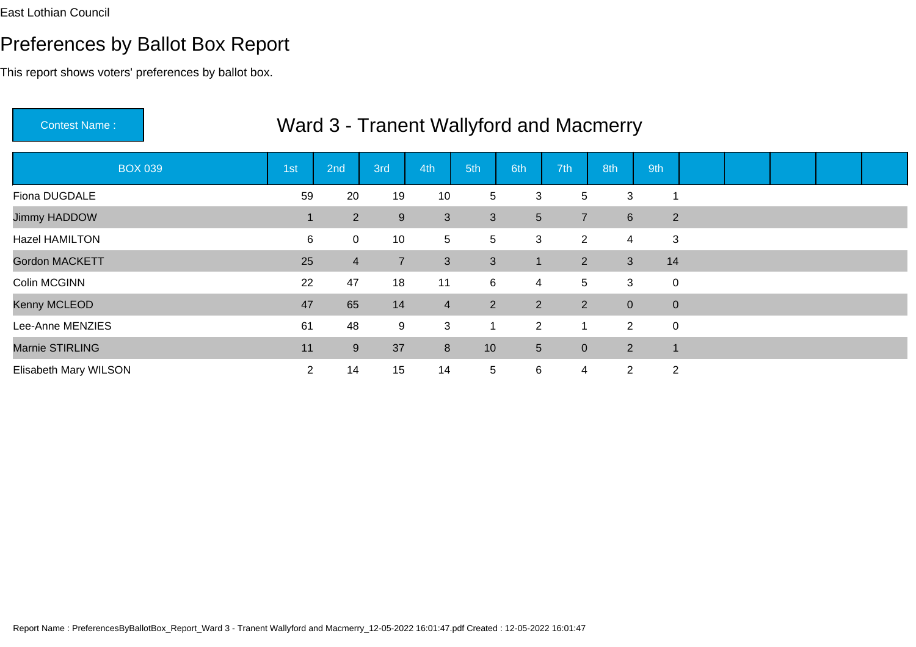| <b>Contest Name:</b>  |                |                |                |                |                 |                |                | Ward 3 - Tranent Wallyford and Macmerry |                |  |  |  |
|-----------------------|----------------|----------------|----------------|----------------|-----------------|----------------|----------------|-----------------------------------------|----------------|--|--|--|
| <b>BOX 039</b>        | 1st            | 2nd            | 3rd            | 4th            | 5th             | 6th            | 7th            | 8th                                     | 9th            |  |  |  |
| Fiona DUGDALE         | 59             | 20             | 19             | 10             | 5               | 3              | 5              | 3                                       | -1             |  |  |  |
| Jimmy HADDOW          |                | $\overline{2}$ | 9              | 3              | 3               | $5\phantom{.}$ | $\overline{7}$ | $6\phantom{1}$                          | 2              |  |  |  |
| Hazel HAMILTON        | 6              | 0              | 10             | 5              | 5               | 3              | $\overline{2}$ | 4                                       | 3              |  |  |  |
| <b>Gordon MACKETT</b> | 25             | $\overline{4}$ | $\overline{7}$ | 3              | 3               | $\mathbf{1}$   | $2^{\circ}$    | 3                                       | 14             |  |  |  |
| Colin MCGINN          | 22             | 47             | 18             | 11             | 6               | 4              | 5              | 3                                       | $\mathbf 0$    |  |  |  |
| Kenny MCLEOD          | 47             | 65             | 14             | $\overline{4}$ | $2^{\circ}$     | 2 <sup>1</sup> | $\overline{2}$ | $\overline{0}$                          | $\mathbf 0$    |  |  |  |
| Lee-Anne MENZIES      | 61             | 48             | 9              | 3              | $\mathbf 1$     | $\overline{2}$ |                | $\overline{2}$                          | $\mathbf 0$    |  |  |  |
| Marnie STIRLING       | 11             | 9              | 37             | 8              | 10 <sup>°</sup> | 5 <sup>5</sup> | $\overline{0}$ | $2^{\circ}$                             | $\mathbf 1$    |  |  |  |
| Elisabeth Mary WILSON | $\overline{2}$ | 14             | 15             | 14             | 5               | 6              | $\overline{4}$ | $\overline{2}$                          | $\overline{2}$ |  |  |  |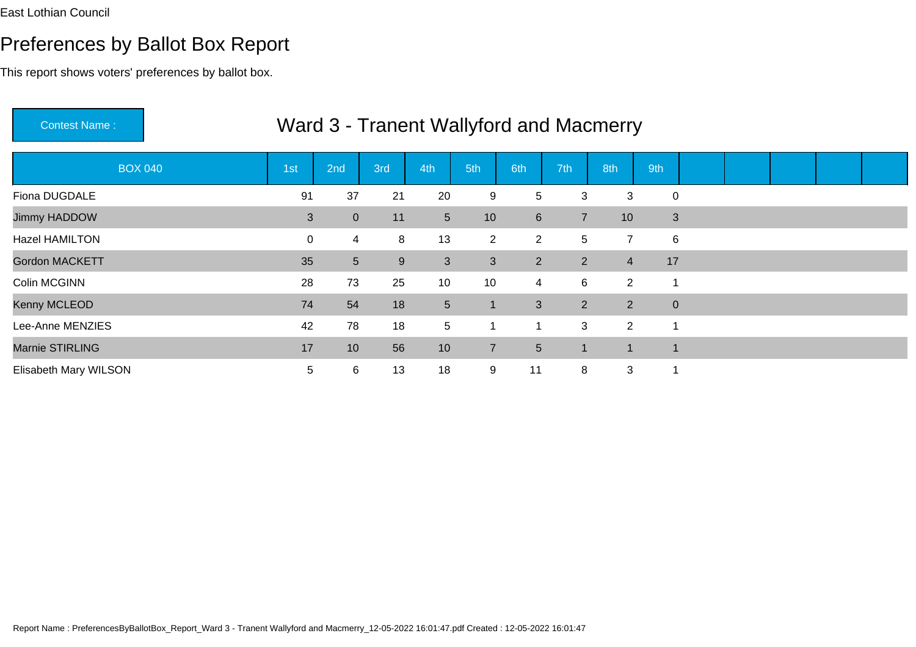This report shows voters' preferences by ballot box.

| <b>Contest Name:</b>  |             |                 |     |                 |                 |                 |                | Ward 3 - Tranent Wallyford and Macmerry |                          |  |  |  |
|-----------------------|-------------|-----------------|-----|-----------------|-----------------|-----------------|----------------|-----------------------------------------|--------------------------|--|--|--|
| <b>BOX 040</b>        | 1st         | 2nd             | 3rd | 4th             | 5th             | 6th             | 7th            | 8th                                     | 9th                      |  |  |  |
| Fiona DUGDALE         | 91          | 37              | 21  | 20              | 9               | 5               | 3              | 3                                       | $\mathbf 0$              |  |  |  |
| Jimmy HADDOW          | 3           | $\overline{0}$  | 11  | 5 <sup>5</sup>  | 10 <sup>°</sup> | $6\phantom{a}$  | $\overline{7}$ | 10                                      | $\mathfrak{B}$           |  |  |  |
| <b>Hazel HAMILTON</b> | $\mathbf 0$ | 4               | 8   | 13              | $2^{\circ}$     | $\overline{2}$  | 5              | $\overline{7}$                          | $\,6$                    |  |  |  |
| <b>Gordon MACKETT</b> | 35          | 5 <sup>5</sup>  | 9   | 3               | 3               | 2 <sup>1</sup>  | $2^{\circ}$    | $\overline{4}$                          | 17                       |  |  |  |
| Colin MCGINN          | 28          | 73              | 25  | 10              | 10              | 4               | 6              | $\overline{2}$                          | 1                        |  |  |  |
| Kenny MCLEOD          | 74          | 54              | 18  | 5               | $\mathbf{1}$    | 3               | $2^{\circ}$    | 2                                       | $\pmb{0}$                |  |  |  |
| Lee-Anne MENZIES      | 42          | 78              | 18  | $5\phantom{.0}$ | 1               | $\mathbf{1}$    | 3              | 2                                       | 1                        |  |  |  |
| Marnie STIRLING       | 17          | 10 <sup>°</sup> | 56  | 10              | $\overline{7}$  | $5\phantom{.0}$ |                | 1                                       | $\overline{\phantom{a}}$ |  |  |  |
| Elisabeth Mary WILSON | 5           | 6               | 13  | 18              | 9               | 11              | 8              | 3                                       | -1                       |  |  |  |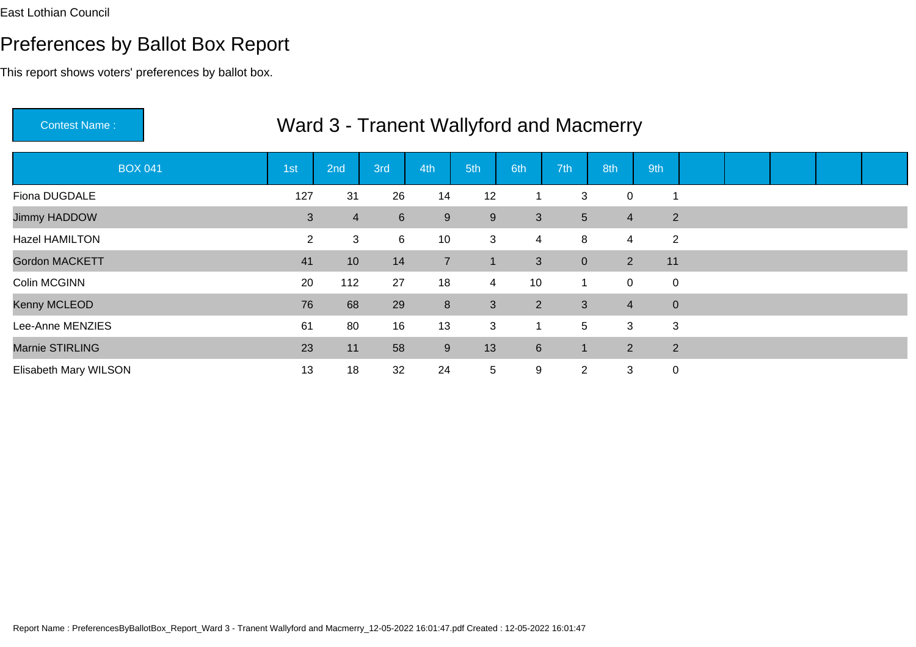This report shows voters' preferences by ballot box.

| Contest Name:         |                |                |             |                  |                | Ward 3 - Tranent Wallyford and Macmerry |                |                |     |                |  |  |
|-----------------------|----------------|----------------|-------------|------------------|----------------|-----------------------------------------|----------------|----------------|-----|----------------|--|--|
| <b>BOX 041</b>        | 1st            | 2nd            | 3rd         | 4th              | 5th            | 6th                                     | 7th            | 8th            | 9th |                |  |  |
| Fiona DUGDALE         | 127            | 31             | 26          | 14               | 12             |                                         | 3              | 0              |     | 1              |  |  |
| Jimmy HADDOW          | $\mathbf{3}$   | $\overline{4}$ | $6^{\circ}$ | $9\,$            | 9              | 3                                       | 5              | $\overline{4}$ |     | $\overline{2}$ |  |  |
| Hazel HAMILTON        | $\overline{2}$ | 3              | 6           | 10               | 3              | $\overline{4}$                          | 8              | 4              |     | $\overline{2}$ |  |  |
| <b>Gordon MACKETT</b> | 41             | 10             | 14          | $\overline{7}$   |                | 3                                       | $\overline{0}$ | $2^{\circ}$    | 11  |                |  |  |
| Colin MCGINN          | 20             | 112            | 27          | 18               | $\overline{4}$ | 10                                      |                | $\mathbf 0$    |     | $\mathbf 0$    |  |  |
| Kenny MCLEOD          | 76             | 68             | 29          | $\bf 8$          | 3              | $2^{\circ}$                             | 3              | $\overline{4}$ |     | $\mathbf 0$    |  |  |
| Lee-Anne MENZIES      | 61             | 80             | 16          | 13               | 3              |                                         | 5              | 3              |     | 3              |  |  |
| Marnie STIRLING       | 23             | 11             | 58          | $\boldsymbol{9}$ | 13             | $6\phantom{1}$                          |                | $2^{\circ}$    |     | $\overline{2}$ |  |  |
| Elisabeth Mary WILSON | 13             | 18             | 32          | 24               | 5              | 9                                       | $\overline{2}$ | 3              |     | $\mathbf 0$    |  |  |

# Ward 3 Transpot Wallyford and Macrosovic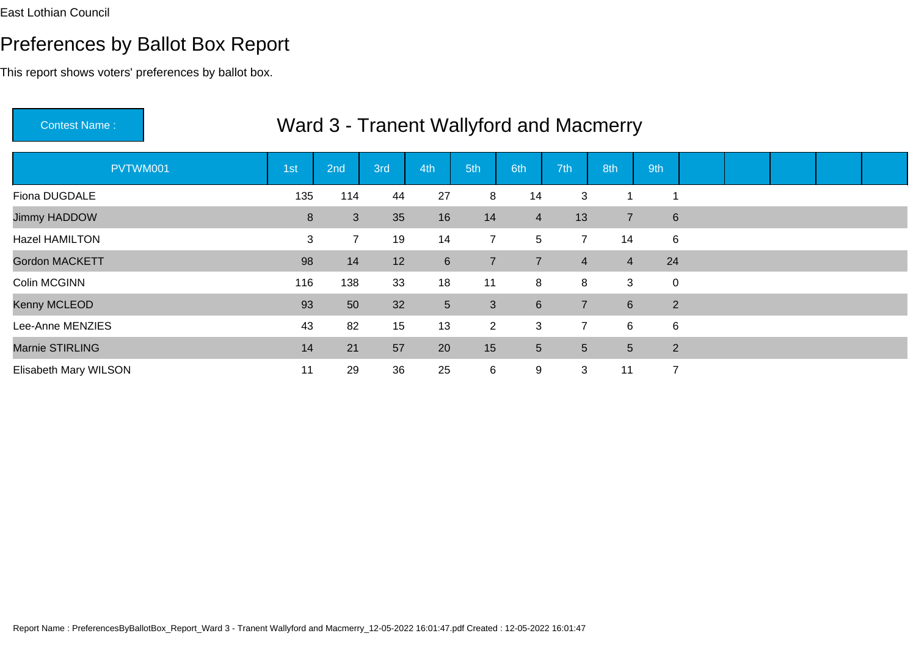This report shows voters' preferences by ballot box.

| <b>Contest Name:</b>  | Ward 3 - Tranent Wallyford and Macmerry |          |     |                |                 |                  |                |                 |                          |  |  |  |  |  |  |
|-----------------------|-----------------------------------------|----------|-----|----------------|-----------------|------------------|----------------|-----------------|--------------------------|--|--|--|--|--|--|
| PVTWM001              | 1st                                     | 2nd      | 3rd | 4th            | 5th             | 6th              | 7th            | 8th             | 9th                      |  |  |  |  |  |  |
| Fiona DUGDALE         | 135                                     | 114      | 44  | 27             | 8               | 14               | 3              | -1              | $\overline{\phantom{a}}$ |  |  |  |  |  |  |
| Jimmy HADDOW          |                                         | 8<br>3   | 35  | 16             | 14              | $\overline{4}$   | 13             | $\overline{7}$  | $6\phantom{1}6$          |  |  |  |  |  |  |
| <b>Hazel HAMILTON</b> |                                         | 3        | 19  | 14             | $\overline{7}$  | 5                | $\overline{7}$ | 14              | 6                        |  |  |  |  |  |  |
| <b>Gordon MACKETT</b> |                                         | 98<br>14 | 12  | $6\phantom{1}$ | $\overline{7}$  | $\overline{7}$   | $\overline{4}$ | $\overline{4}$  | 24                       |  |  |  |  |  |  |
| Colin MCGINN          | 116                                     | 138      | 33  | 18             | 11              | 8                | 8              | 3               | $\mathbf 0$              |  |  |  |  |  |  |
| Kenny MCLEOD          |                                         | 93<br>50 | 32  | 5 <sub>5</sub> | 3               | $6 \overline{6}$ | $\overline{7}$ | $6\overline{6}$ | 2                        |  |  |  |  |  |  |
| Lee-Anne MENZIES      | 43                                      | 82       | 15  | 13             | $\overline{2}$  | 3                | $\overline{7}$ | 6               | $\,6$                    |  |  |  |  |  |  |
| Marnie STIRLING       | 14                                      | 21       | 57  | 20             | 15 <sub>1</sub> | $\overline{5}$   | 5              | 5 <sup>5</sup>  | 2                        |  |  |  |  |  |  |
| Elisabeth Mary WILSON | 11                                      | 29       | 36  | 25             | 6               | 9                | 3              | 11              | $\overline{7}$           |  |  |  |  |  |  |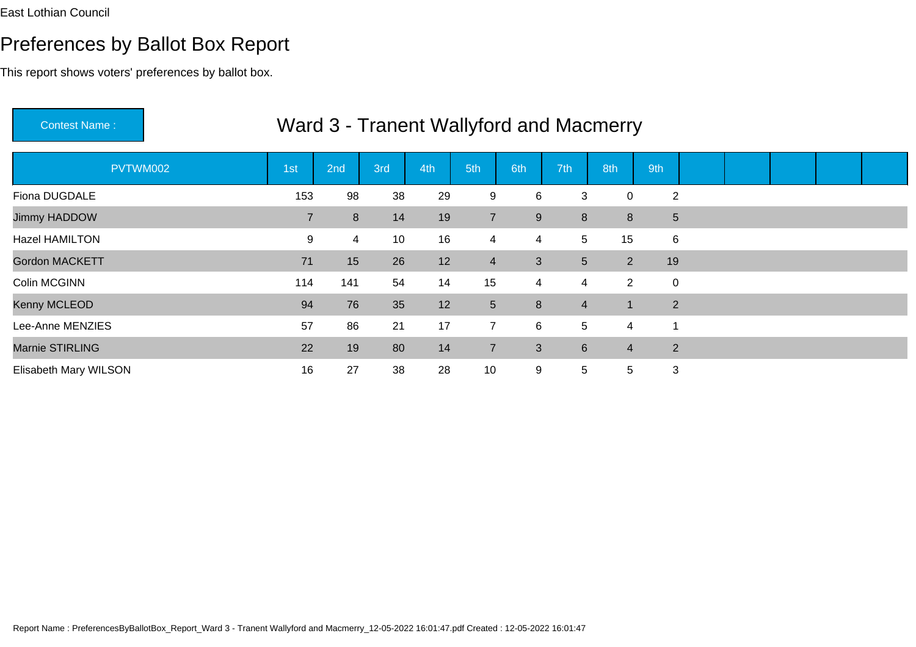This report shows voters' preferences by ballot box.

| Ward 3 - Tranent Wallyford and Macmerry<br><b>Contest Name:</b> |                |     |     |     |                |                |                |                      |                |  |  |  |  |  |
|-----------------------------------------------------------------|----------------|-----|-----|-----|----------------|----------------|----------------|----------------------|----------------|--|--|--|--|--|
| PVTWM002                                                        | 1st            | 2nd | 3rd | 4th | 5th            | 6th            | 7th            | 8th                  | 9th            |  |  |  |  |  |
| Fiona DUGDALE                                                   | 153            | 98  | 38  | 29  | 9              | 6              | 3              | 0                    | $\overline{2}$ |  |  |  |  |  |
| Jimmy HADDOW                                                    | $\overline{7}$ | 8   | 14  | 19  | $\overline{7}$ | $9\,$          | 8              | 8                    | $\sqrt{5}$     |  |  |  |  |  |
| <b>Hazel HAMILTON</b>                                           | 9              | 4   | 10  | 16  | $\overline{4}$ | $\overline{4}$ | 5              | 15                   | $\,6$          |  |  |  |  |  |
| <b>Gordon MACKETT</b>                                           | 71             | 15  | 26  | 12  | $\overline{4}$ | 3              | 5 <sup>5</sup> | $\overline{2}$       | 19             |  |  |  |  |  |
| Colin MCGINN                                                    | 114            | 141 | 54  | 14  | 15             | $\overline{4}$ | 4              | $\overline{2}$       | $\mathbf 0$    |  |  |  |  |  |
| Kenny MCLEOD                                                    | 94             | 76  | 35  | 12  | 5 <sup>5</sup> | 8              | $\overline{4}$ | $\blacktriangleleft$ | $\overline{2}$ |  |  |  |  |  |
| Lee-Anne MENZIES                                                | 57             | 86  | 21  | 17  | $\overline{7}$ | 6              |                | 5<br>4               | 1              |  |  |  |  |  |
| Marnie STIRLING                                                 | 22             | 19  | 80  | 14  | $\overline{7}$ | 3              | $6\phantom{1}$ | $\overline{4}$       | 2              |  |  |  |  |  |
| Elisabeth Mary WILSON                                           | 16             | 27  | 38  | 28  | 10             | 9              | 5              | 5 <sup>5</sup>       | 3              |  |  |  |  |  |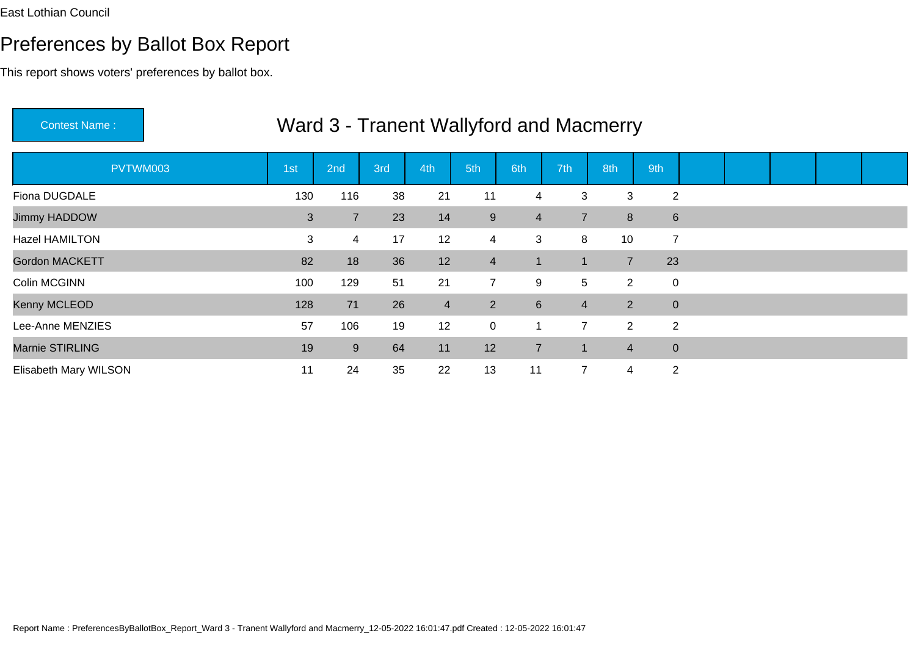This report shows voters' preferences by ballot box.

| <b>Contest Name:</b>  | Ward 3 - Tranent Wallyford and Macmerry |                |     |                |                |                |                |                |                |  |  |  |  |  |  |
|-----------------------|-----------------------------------------|----------------|-----|----------------|----------------|----------------|----------------|----------------|----------------|--|--|--|--|--|--|
| PVTWM003              | 1st                                     | 2nd            | 3rd | 4th            | 5th            | 6th            | 7th            | 8th            | 9th            |  |  |  |  |  |  |
| Fiona DUGDALE         | 130                                     | 116            | 38  | 21             | 11             | 4              | 3              | 3              | $\overline{2}$ |  |  |  |  |  |  |
| Jimmy HADDOW          | 3                                       | $\overline{7}$ | 23  | 14             | 9              | $\overline{4}$ | $\overline{7}$ | 8              | 6              |  |  |  |  |  |  |
| Hazel HAMILTON        | 3                                       | 4              | 17  | 12             | $\overline{4}$ | 3              | 8              | 10             | $\overline{7}$ |  |  |  |  |  |  |
| <b>Gordon MACKETT</b> | 82                                      | 18             | 36  | 12             | $\overline{4}$ | $\mathbf{1}$   |                | $\overline{7}$ | 23             |  |  |  |  |  |  |
| Colin MCGINN          | 100                                     | 129            | 51  | 21             | $\overline{7}$ | 9              | 5              | $\overline{2}$ | $\mathbf 0$    |  |  |  |  |  |  |
| Kenny MCLEOD          | 128                                     | 71             | 26  | $\overline{4}$ | $\overline{2}$ | $6\phantom{1}$ | $\overline{4}$ | 2              | $\mathbf{0}$   |  |  |  |  |  |  |
| Lee-Anne MENZIES      | 57                                      | 106            | 19  | 12             | $\overline{0}$ |                | $\overline{7}$ | 2              | $\overline{2}$ |  |  |  |  |  |  |
| Marnie STIRLING       | 19                                      | 9              | 64  | 11             | 12             | $\overline{7}$ |                | $\overline{4}$ | $\mathbf 0$    |  |  |  |  |  |  |
| Elisabeth Mary WILSON | 11                                      | 24             | 35  | 22             | 13             | 11             | $\overline{7}$ | 4              | $\overline{2}$ |  |  |  |  |  |  |